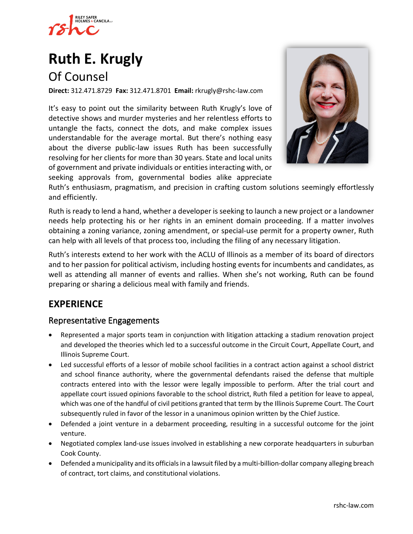

# **Ruth E. Krugly**

# Of Counsel

**Direct:** 312.471.8729 **Fax:** 312.471.8701 **Email:** [rkrugly@rshc-law.com](mailto:rkrugly@rshc-law.com)

It's easy to point out the similarity between Ruth Krugly's love of detective shows and murder mysteries and her relentless efforts to untangle the facts, connect the dots, and make complex issues understandable for the average mortal. But there's nothing easy about the diverse public-law issues Ruth has been successfully resolving for her clients for more than 30 years. State and local units of government and private individuals or entities interacting with, or seeking approvals from, governmental bodies alike appreciate



Ruth's enthusiasm, pragmatism, and precision in crafting custom solutions seemingly effortlessly and efficiently.

Ruth is ready to lend a hand, whether a developer is seeking to launch a new project or a landowner needs help protecting his or her rights in an eminent domain proceeding. If a matter involves obtaining a zoning variance, zoning amendment, or special-use permit for a property owner, Ruth can help with all levels of that process too, including the filing of any necessary litigation.

Ruth's interests extend to her work with the ACLU of Illinois as a member of its board of directors and to her passion for political activism, including hosting events for incumbents and candidates, as well as attending all manner of events and rallies. When she's not working, Ruth can be found preparing or sharing a delicious meal with family and friends.

# **EXPERIENCE**

#### Representative Engagements

- Represented a major sports team in conjunction with litigation attacking a stadium renovation project and developed the theories which led to a successful outcome in the Circuit Court, Appellate Court, and Illinois Supreme Court.
- Led successful efforts of a lessor of mobile school facilities in a contract action against a school district and school finance authority, where the governmental defendants raised the defense that multiple contracts entered into with the lessor were legally impossible to perform. After the trial court and appellate court issued opinions favorable to the school district, Ruth filed a petition for leave to appeal, which was one of the handful of civil petitions granted that term by the Illinois Supreme Court. The Court subsequently ruled in favor of the lessor in a unanimous opinion written by the Chief Justice.
- Defended a joint venture in a debarment proceeding, resulting in a successful outcome for the joint venture.
- Negotiated complex land-use issues involved in establishing a new corporate headquarters in suburban Cook County.
- Defended a municipality and its officials in a lawsuit filed by a multi-billion-dollar company alleging breach of contract, tort claims, and constitutional violations.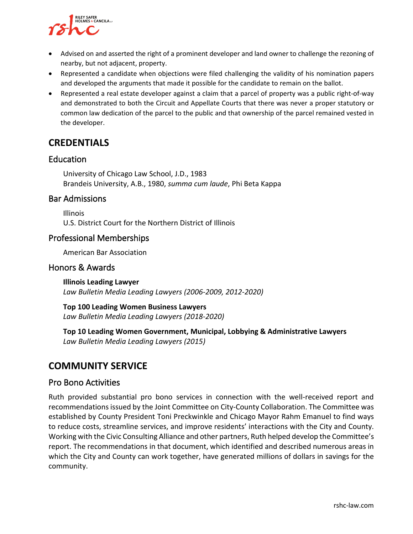

- Advised on and asserted the right of a prominent developer and land owner to challenge the rezoning of nearby, but not adjacent, property.
- Represented a candidate when objections were filed challenging the validity of his nomination papers and developed the arguments that made it possible for the candidate to remain on the ballot.
- Represented a real estate developer against a claim that a parcel of property was a public right-of-way and demonstrated to both the Circuit and Appellate Courts that there was never a proper statutory or common law dedication of the parcel to the public and that ownership of the parcel remained vested in the developer.

# **CREDENTIALS**

#### **Education**

University of Chicago Law School, J.D., 1983 Brandeis University, A.B., 1980, *summa cum laude*, Phi Beta Kappa

#### Bar Admissions

Illinois U.S. District Court for the Northern District of Illinois

#### Professional Memberships

American Bar Association

#### Honors & Awards

**Illinois Leading Lawyer** *Law Bulletin Media Leading Lawyers (2006-2009, 2012-2020)*

**Top 100 Leading Women Business Lawyers** *Law Bulletin Media Leading Lawyers (2018-2020)*

**Top 10 Leading Women Government, Municipal, Lobbying & Administrative Lawyers** *Law Bulletin Media Leading Lawyers (2015)*

## **COMMUNITY SERVICE**

#### Pro Bono Activities

Ruth provided substantial pro bono services in connection with the well-received report and recommendations issued by the Joint Committee on City-County Collaboration. The Committee was established by County President Toni Preckwinkle and Chicago Mayor Rahm Emanuel to find ways to reduce costs, streamline services, and improve residents' interactions with the City and County. Working with the Civic Consulting Alliance and other partners, Ruth helped develop the Committee's report. The recommendations in that document, which identified and described numerous areas in which the City and County can work together, have generated millions of dollars in savings for the community.